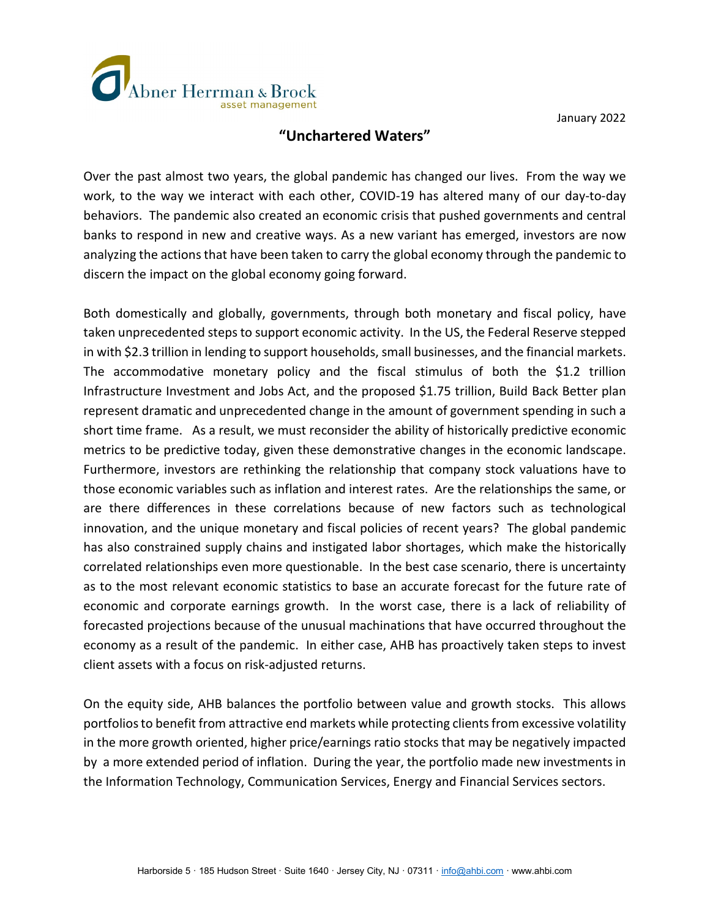

January 2022

## **"Unchartered Waters"**

Over the past almost two years, the global pandemic has changed our lives. From the way we work, to the way we interact with each other, COVID-19 has altered many of our day-to-day behaviors. The pandemic also created an economic crisis that pushed governments and central banks to respond in new and creative ways. As a new variant has emerged, investors are now analyzing the actions that have been taken to carry the global economy through the pandemic to discern the impact on the global economy going forward.

Both domestically and globally, governments, through both monetary and fiscal policy, have taken unprecedented steps to support economic activity. In the US, the Federal Reserve stepped in with \$2.3 trillion in lending to support households, small businesses, and the financial markets. The accommodative monetary policy and the fiscal stimulus of both the \$1.2 trillion Infrastructure Investment and Jobs Act, and the proposed \$1.75 trillion, Build Back Better plan represent dramatic and unprecedented change in the amount of government spending in such a short time frame. As a result, we must reconsider the ability of historically predictive economic metrics to be predictive today, given these demonstrative changes in the economic landscape. Furthermore, investors are rethinking the relationship that company stock valuations have to those economic variables such as inflation and interest rates. Are the relationships the same, or are there differences in these correlations because of new factors such as technological innovation, and the unique monetary and fiscal policies of recent years? The global pandemic has also constrained supply chains and instigated labor shortages, which make the historically correlated relationships even more questionable. In the best case scenario, there is uncertainty as to the most relevant economic statistics to base an accurate forecast for the future rate of economic and corporate earnings growth. In the worst case, there is a lack of reliability of forecasted projections because of the unusual machinations that have occurred throughout the economy as a result of the pandemic. In either case, AHB has proactively taken steps to invest client assets with a focus on risk-adjusted returns.

On the equity side, AHB balances the portfolio between value and growth stocks. This allows portfolios to benefit from attractive end markets while protecting clients from excessive volatility in the more growth oriented, higher price/earnings ratio stocks that may be negatively impacted by a more extended period of inflation. During the year, the portfolio made new investments in the Information Technology, Communication Services, Energy and Financial Services sectors.